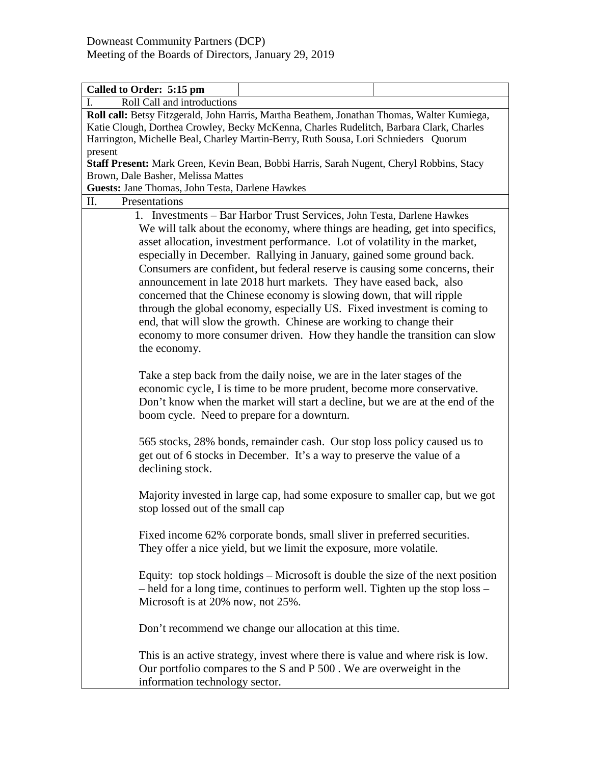| Called to Order: 5:15 pm                                                                                                                                                                                                                                                                                                                                                                                                                                                                                                                                                                                                                                                                        |  |  |
|-------------------------------------------------------------------------------------------------------------------------------------------------------------------------------------------------------------------------------------------------------------------------------------------------------------------------------------------------------------------------------------------------------------------------------------------------------------------------------------------------------------------------------------------------------------------------------------------------------------------------------------------------------------------------------------------------|--|--|
| Roll Call and introductions<br>I.                                                                                                                                                                                                                                                                                                                                                                                                                                                                                                                                                                                                                                                               |  |  |
| Roll call: Betsy Fitzgerald, John Harris, Martha Beathem, Jonathan Thomas, Walter Kumiega,                                                                                                                                                                                                                                                                                                                                                                                                                                                                                                                                                                                                      |  |  |
| Katie Clough, Dorthea Crowley, Becky McKenna, Charles Rudelitch, Barbara Clark, Charles                                                                                                                                                                                                                                                                                                                                                                                                                                                                                                                                                                                                         |  |  |
| Harrington, Michelle Beal, Charley Martin-Berry, Ruth Sousa, Lori Schnieders Quorum                                                                                                                                                                                                                                                                                                                                                                                                                                                                                                                                                                                                             |  |  |
| present                                                                                                                                                                                                                                                                                                                                                                                                                                                                                                                                                                                                                                                                                         |  |  |
| Staff Present: Mark Green, Kevin Bean, Bobbi Harris, Sarah Nugent, Cheryl Robbins, Stacy                                                                                                                                                                                                                                                                                                                                                                                                                                                                                                                                                                                                        |  |  |
| Brown, Dale Basher, Melissa Mattes                                                                                                                                                                                                                                                                                                                                                                                                                                                                                                                                                                                                                                                              |  |  |
| Guests: Jane Thomas, John Testa, Darlene Hawkes                                                                                                                                                                                                                                                                                                                                                                                                                                                                                                                                                                                                                                                 |  |  |
| Presentations<br>П.                                                                                                                                                                                                                                                                                                                                                                                                                                                                                                                                                                                                                                                                             |  |  |
| 1. Investments - Bar Harbor Trust Services, John Testa, Darlene Hawkes<br>We will talk about the economy, where things are heading, get into specifics,<br>asset allocation, investment performance. Lot of volatility in the market,<br>especially in December. Rallying in January, gained some ground back.<br>Consumers are confident, but federal reserve is causing some concerns, their<br>announcement in late 2018 hurt markets. They have eased back, also<br>concerned that the Chinese economy is slowing down, that will ripple<br>through the global economy, especially US. Fixed investment is coming to<br>end, that will slow the growth. Chinese are working to change their |  |  |
| economy to more consumer driven. How they handle the transition can slow<br>the economy.                                                                                                                                                                                                                                                                                                                                                                                                                                                                                                                                                                                                        |  |  |
| Take a step back from the daily noise, we are in the later stages of the<br>economic cycle, I is time to be more prudent, become more conservative.<br>Don't know when the market will start a decline, but we are at the end of the<br>boom cycle. Need to prepare for a downturn.                                                                                                                                                                                                                                                                                                                                                                                                             |  |  |
| 565 stocks, 28% bonds, remainder cash. Our stop loss policy caused us to<br>get out of 6 stocks in December. It's a way to preserve the value of a<br>declining stock.                                                                                                                                                                                                                                                                                                                                                                                                                                                                                                                          |  |  |
| Majority invested in large cap, had some exposure to smaller cap, but we got<br>stop lossed out of the small cap                                                                                                                                                                                                                                                                                                                                                                                                                                                                                                                                                                                |  |  |
| Fixed income 62% corporate bonds, small sliver in preferred securities.<br>They offer a nice yield, but we limit the exposure, more volatile.                                                                                                                                                                                                                                                                                                                                                                                                                                                                                                                                                   |  |  |
| Equity: top stock holdings – Microsoft is double the size of the next position<br>- held for a long time, continues to perform well. Tighten up the stop loss -<br>Microsoft is at 20% now, not 25%.                                                                                                                                                                                                                                                                                                                                                                                                                                                                                            |  |  |
| Don't recommend we change our allocation at this time.                                                                                                                                                                                                                                                                                                                                                                                                                                                                                                                                                                                                                                          |  |  |
| This is an active strategy, invest where there is value and where risk is low.<br>Our portfolio compares to the S and P 500. We are overweight in the<br>information technology sector.                                                                                                                                                                                                                                                                                                                                                                                                                                                                                                         |  |  |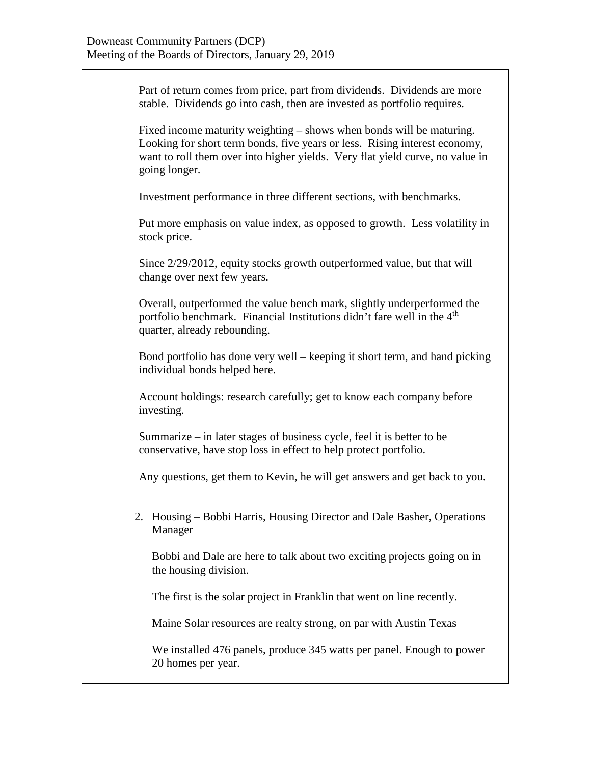Part of return comes from price, part from dividends. Dividends are more stable. Dividends go into cash, then are invested as portfolio requires.

Fixed income maturity weighting – shows when bonds will be maturing. Looking for short term bonds, five years or less. Rising interest economy, want to roll them over into higher yields. Very flat yield curve, no value in going longer.

Investment performance in three different sections, with benchmarks.

Put more emphasis on value index, as opposed to growth. Less volatility in stock price.

Since 2/29/2012, equity stocks growth outperformed value, but that will change over next few years.

Overall, outperformed the value bench mark, slightly underperformed the portfolio benchmark. Financial Institutions didn't fare well in the 4<sup>th</sup> quarter, already rebounding.

Bond portfolio has done very well – keeping it short term, and hand picking individual bonds helped here.

Account holdings: research carefully; get to know each company before investing.

Summarize – in later stages of business cycle, feel it is better to be conservative, have stop loss in effect to help protect portfolio.

Any questions, get them to Kevin, he will get answers and get back to you.

2. Housing – Bobbi Harris, Housing Director and Dale Basher, Operations Manager

Bobbi and Dale are here to talk about two exciting projects going on in the housing division.

The first is the solar project in Franklin that went on line recently.

Maine Solar resources are realty strong, on par with Austin Texas

We installed 476 panels, produce 345 watts per panel. Enough to power 20 homes per year.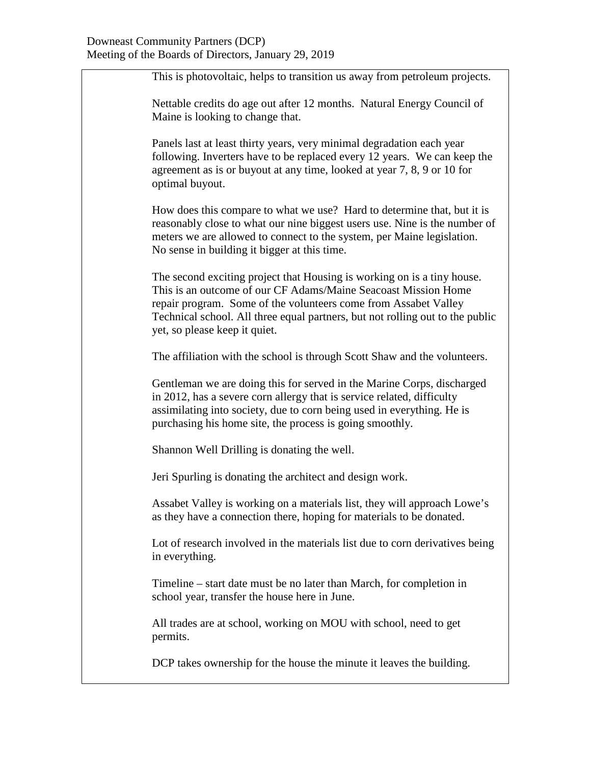This is photovoltaic, helps to transition us away from petroleum projects.

Nettable credits do age out after 12 months. Natural Energy Council of Maine is looking to change that.

Panels last at least thirty years, very minimal degradation each year following. Inverters have to be replaced every 12 years. We can keep the agreement as is or buyout at any time, looked at year 7, 8, 9 or 10 for optimal buyout.

How does this compare to what we use? Hard to determine that, but it is reasonably close to what our nine biggest users use. Nine is the number of meters we are allowed to connect to the system, per Maine legislation. No sense in building it bigger at this time.

The second exciting project that Housing is working on is a tiny house. This is an outcome of our CF Adams/Maine Seacoast Mission Home repair program. Some of the volunteers come from Assabet Valley Technical school. All three equal partners, but not rolling out to the public yet, so please keep it quiet.

The affiliation with the school is through Scott Shaw and the volunteers.

Gentleman we are doing this for served in the Marine Corps, discharged in 2012, has a severe corn allergy that is service related, difficulty assimilating into society, due to corn being used in everything. He is purchasing his home site, the process is going smoothly.

Shannon Well Drilling is donating the well.

Jeri Spurling is donating the architect and design work.

Assabet Valley is working on a materials list, they will approach Lowe's as they have a connection there, hoping for materials to be donated.

Lot of research involved in the materials list due to corn derivatives being in everything.

Timeline – start date must be no later than March, for completion in school year, transfer the house here in June.

All trades are at school, working on MOU with school, need to get permits.

DCP takes ownership for the house the minute it leaves the building.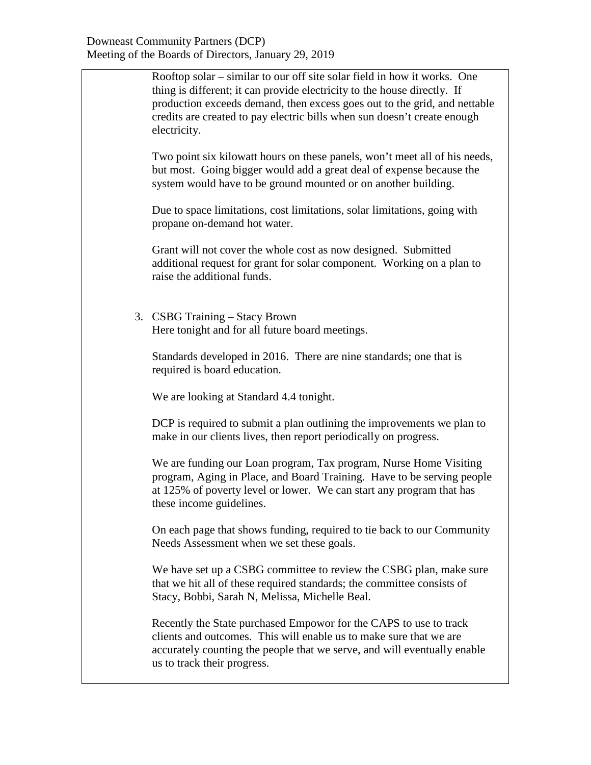Rooftop solar – similar to our off site solar field in how it works. One thing is different; it can provide electricity to the house directly. If production exceeds demand, then excess goes out to the grid, and nettable credits are created to pay electric bills when sun doesn't create enough electricity.

Two point six kilowatt hours on these panels, won't meet all of his needs, but most. Going bigger would add a great deal of expense because the system would have to be ground mounted or on another building.

Due to space limitations, cost limitations, solar limitations, going with propane on-demand hot water.

Grant will not cover the whole cost as now designed. Submitted additional request for grant for solar component. Working on a plan to raise the additional funds.

3. CSBG Training – Stacy Brown Here tonight and for all future board meetings.

Standards developed in 2016. There are nine standards; one that is required is board education.

We are looking at Standard 4.4 tonight.

DCP is required to submit a plan outlining the improvements we plan to make in our clients lives, then report periodically on progress.

We are funding our Loan program, Tax program, Nurse Home Visiting program, Aging in Place, and Board Training. Have to be serving people at 125% of poverty level or lower. We can start any program that has these income guidelines.

On each page that shows funding, required to tie back to our Community Needs Assessment when we set these goals.

We have set up a CSBG committee to review the CSBG plan, make sure that we hit all of these required standards; the committee consists of Stacy, Bobbi, Sarah N, Melissa, Michelle Beal.

Recently the State purchased Empowor for the CAPS to use to track clients and outcomes. This will enable us to make sure that we are accurately counting the people that we serve, and will eventually enable us to track their progress.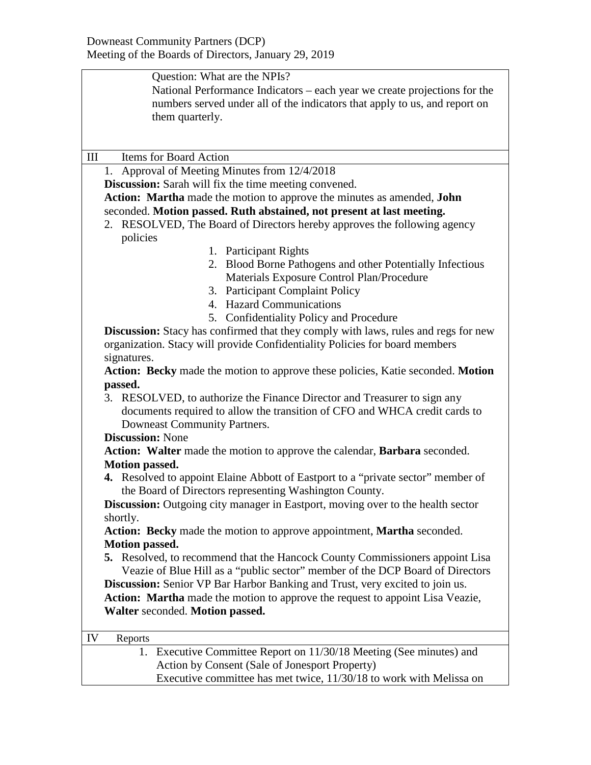| Question: What are the NPIs?                                                              |  |  |
|-------------------------------------------------------------------------------------------|--|--|
| National Performance Indicators – each year we create projections for the                 |  |  |
| numbers served under all of the indicators that apply to us, and report on                |  |  |
| them quarterly.                                                                           |  |  |
|                                                                                           |  |  |
|                                                                                           |  |  |
| Items for Board Action<br>III                                                             |  |  |
| 1. Approval of Meeting Minutes from 12/4/2018                                             |  |  |
| <b>Discussion:</b> Sarah will fix the time meeting convened.                              |  |  |
| Action: Martha made the motion to approve the minutes as amended, John                    |  |  |
| seconded. Motion passed. Ruth abstained, not present at last meeting.                     |  |  |
| 2. RESOLVED, The Board of Directors hereby approves the following agency                  |  |  |
| policies                                                                                  |  |  |
| 1. Participant Rights                                                                     |  |  |
| 2. Blood Borne Pathogens and other Potentially Infectious                                 |  |  |
| Materials Exposure Control Plan/Procedure                                                 |  |  |
| 3. Participant Complaint Policy                                                           |  |  |
| 4. Hazard Communications                                                                  |  |  |
| 5. Confidentiality Policy and Procedure                                                   |  |  |
| <b>Discussion:</b> Stacy has confirmed that they comply with laws, rules and regs for new |  |  |
| organization. Stacy will provide Confidentiality Policies for board members               |  |  |
| signatures.                                                                               |  |  |
| Action: Becky made the motion to approve these policies, Katie seconded. Motion           |  |  |
| passed.                                                                                   |  |  |
| 3. RESOLVED, to authorize the Finance Director and Treasurer to sign any                  |  |  |
| documents required to allow the transition of CFO and WHCA credit cards to                |  |  |
| Downeast Community Partners.                                                              |  |  |
| <b>Discussion: None</b>                                                                   |  |  |
| Action: Walter made the motion to approve the calendar, Barbara seconded.                 |  |  |
| Motion passed.                                                                            |  |  |
| 4. Resolved to appoint Elaine Abbott of Eastport to a "private sector" member of          |  |  |
| the Board of Directors representing Washington County.                                    |  |  |
| Discussion: Outgoing city manager in Eastport, moving over to the health sector           |  |  |
| shortly.                                                                                  |  |  |
| Action: Becky made the motion to approve appointment, Martha seconded.                    |  |  |
| <b>Motion passed.</b>                                                                     |  |  |
| 5. Resolved, to recommend that the Hancock County Commissioners appoint Lisa              |  |  |
| Veazie of Blue Hill as a "public sector" member of the DCP Board of Directors             |  |  |
| Discussion: Senior VP Bar Harbor Banking and Trust, very excited to join us.              |  |  |
| Action: Martha made the motion to approve the request to appoint Lisa Veazie,             |  |  |
| Walter seconded. Motion passed.                                                           |  |  |
|                                                                                           |  |  |
| IV<br>Reports                                                                             |  |  |
| 1. Executive Committee Report on 11/30/18 Meeting (See minutes) and                       |  |  |
| Action by Consent (Sale of Jonesport Property)                                            |  |  |
| Executive committee has met twice, 11/30/18 to work with Melissa on                       |  |  |

Executive committee has met twice, 11/30/18 to work with Melissa on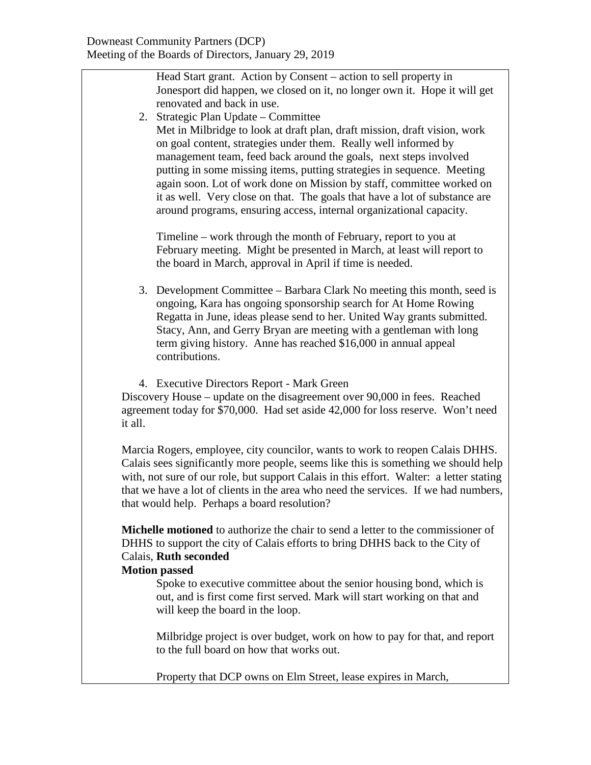Head Start grant. Action by Consent – action to sell property in Jonesport did happen, we closed on it, no longer own it. Hope it will get renovated and back in use.

2. Strategic Plan Update – Committee Met in Milbridge to look at draft plan, draft mission, draft vision, work on goal content, strategies under them. Really well informed by management team, feed back around the goals, next steps involved putting in some missing items, putting strategies in sequence. Meeting again soon. Lot of work done on Mission by staff, committee worked on it as well. Very close on that. The goals that have a lot of substance are around programs, ensuring access, internal organizational capacity.

Timeline – work through the month of February, report to you at February meeting. Might be presented in March, at least will report to the board in March, approval in April if time is needed.

- 3. Development Committee Barbara Clark No meeting this month, seed is ongoing, Kara has ongoing sponsorship search for At Home Rowing Regatta in June, ideas please send to her. United Way grants submitted. Stacy, Ann, and Gerry Bryan are meeting with a gentleman with long term giving history. Anne has reached \$16,000 in annual appeal contributions.
- 4. Executive Directors Report Mark Green

Discovery House – update on the disagreement over 90,000 in fees. Reached agreement today for \$70,000. Had set aside 42,000 for loss reserve. Won't need it all.

Marcia Rogers, employee, city councilor, wants to work to reopen Calais DHHS. Calais sees significantly more people, seems like this is something we should help with, not sure of our role, but support Calais in this effort. Walter: a letter stating that we have a lot of clients in the area who need the services. If we had numbers, that would help. Perhaps a board resolution?

**Michelle motioned** to authorize the chair to send a letter to the commissioner of DHHS to support the city of Calais efforts to bring DHHS back to the City of Calais, **Ruth seconded**

## **Motion passed**

Spoke to executive committee about the senior housing bond, which is out, and is first come first served. Mark will start working on that and will keep the board in the loop.

Milbridge project is over budget, work on how to pay for that, and report to the full board on how that works out.

Property that DCP owns on Elm Street, lease expires in March,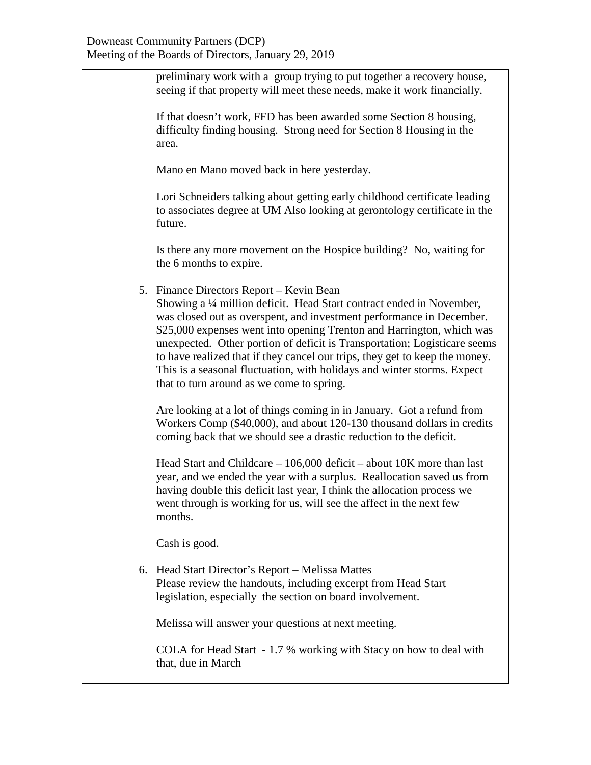preliminary work with a group trying to put together a recovery house, seeing if that property will meet these needs, make it work financially.

If that doesn't work, FFD has been awarded some Section 8 housing, difficulty finding housing. Strong need for Section 8 Housing in the area.

Mano en Mano moved back in here yesterday.

Lori Schneiders talking about getting early childhood certificate leading to associates degree at UM Also looking at gerontology certificate in the future.

Is there any more movement on the Hospice building? No, waiting for the 6 months to expire.

5. Finance Directors Report – Kevin Bean

Showing a ¼ million deficit. Head Start contract ended in November, was closed out as overspent, and investment performance in December. \$25,000 expenses went into opening Trenton and Harrington, which was unexpected. Other portion of deficit is Transportation; Logisticare seems to have realized that if they cancel our trips, they get to keep the money. This is a seasonal fluctuation, with holidays and winter storms. Expect that to turn around as we come to spring.

Are looking at a lot of things coming in in January. Got a refund from Workers Comp (\$40,000), and about 120-130 thousand dollars in credits coming back that we should see a drastic reduction to the deficit.

Head Start and Childcare – 106,000 deficit – about 10K more than last year, and we ended the year with a surplus. Reallocation saved us from having double this deficit last year, I think the allocation process we went through is working for us, will see the affect in the next few months.

Cash is good.

6. Head Start Director's Report – Melissa Mattes Please review the handouts, including excerpt from Head Start legislation, especially the section on board involvement.

Melissa will answer your questions at next meeting.

COLA for Head Start - 1.7 % working with Stacy on how to deal with that, due in March